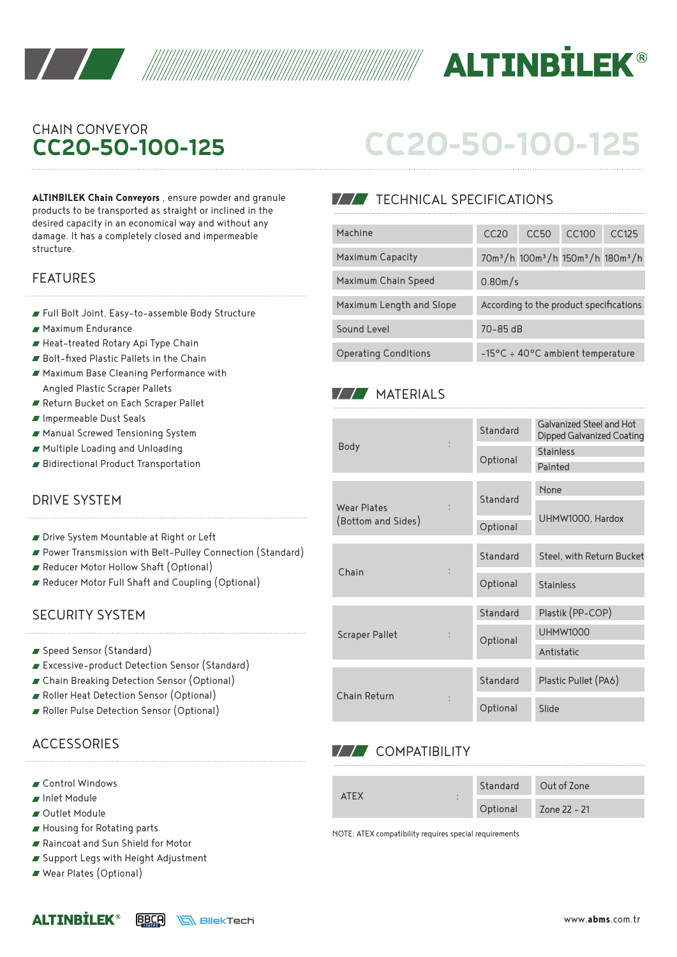



## CHAIN CONVEYOR **CC20-50-100-125**

**ALTINBILEK Chain Conveyors** , ensure powder and granule products to be transported as straight or inclined in the desired capacity in an economical way and without any damage. It has a completely closed and impermeable structure.

#### FEATURES

- Full Bolt Joint, Easy-to-assemble Body Structure
- Maximum Endurance
- Heat-treated Rotary Api Type Chain
- Bolt-fixed Plastic Pallets in the Chain
- Maximum Base Cleaning Performance with Angled Plastic Scraper Pallets
- Return Bucket on Each Scraper Pallet
- Impermeable Dust Seals
- Manual Screwed Tensioning System
- Multiple Loading and Unloading
- Bidirectional Product Transportation

## DRIVE SYSTEM

- Drive System Mountable at Right or Left
- Power Transmission with Belt-Pulley Connection (Standard)
- Reducer Motor Hollow Shaft (Optional)
- Reducer Motor Full Shaft and Coupling (Optional)

#### SECURITY SYSTEM

- Speed Sensor (Standard)
- Excessive-product Detection Sensor (Standard)
- Chain Breaking Detection Sensor (Optional)
- Roller Heat Detection Sensor (Optional)
- Roller Pulse Detection Sensor (Optional)

## **ACCESSORIES**

- Control Windows
- Inlet Module
- Outlet Module
- Housing for Rotating parts
- Raincoat and Sun Shield for Motor
- Support Legs with Height Adjustment
- Wear Plates (Optional)

# **CC20-50-100-125**

## **TECHNICAL SPECIFICATIONS**

| Machine                     | C <sub>C</sub> 20                                   | CC50                                                                               | CC <sub>100</sub> | CC125 |  |  |
|-----------------------------|-----------------------------------------------------|------------------------------------------------------------------------------------|-------------------|-------|--|--|
| Maximum Capacity            |                                                     | 70m <sup>3</sup> /h 100m <sup>3</sup> /h 150m <sup>3</sup> /h 180m <sup>3</sup> /h |                   |       |  |  |
| Maximum Chain Speed         | 0.80m/s                                             |                                                                                    |                   |       |  |  |
| Maximum Length and Slope    | According to the product specifications             |                                                                                    |                   |       |  |  |
| Sound Level                 | $70 - 85$ dB                                        |                                                                                    |                   |       |  |  |
| <b>Operating Conditions</b> | $-15\degree$ C ÷ 40 $\degree$ C ambient temperature |                                                                                    |                   |       |  |  |

### **MATERIALS**

|                                          |  | Standard | Galvanized Steel and Hot<br>Dipped Galvanized Coating |  |  |
|------------------------------------------|--|----------|-------------------------------------------------------|--|--|
| Body                                     |  | Optional | <b>Stainless</b><br>Painted                           |  |  |
|                                          |  |          | None                                                  |  |  |
| <b>Wear Plates</b><br>(Bottom and Sides) |  | Standard | UHMW1000, Hardox                                      |  |  |
|                                          |  | Optional |                                                       |  |  |
|                                          |  | Standard | Steel, with Return Bucket                             |  |  |
| Chain                                    |  | Optional | <b>Stainless</b>                                      |  |  |
|                                          |  | Standard | Plastik (PP-COP)                                      |  |  |
| <b>Scraper Pallet</b>                    |  | Optional | <b>UHMW1000</b>                                       |  |  |
|                                          |  |          | Antistatic                                            |  |  |
| Chain Return                             |  | Standard | Plastic Pullet (PA6)                                  |  |  |
|                                          |  | Optional | Slide                                                 |  |  |

#### **V/V** COMPATIBILITY

| ATFX<br>$\cdot$ |          | Standard Out of Zone |  |
|-----------------|----------|----------------------|--|
|                 | Optional | Zone 22 - 21         |  |

NOTE: ATEX compatibility requires special requirements